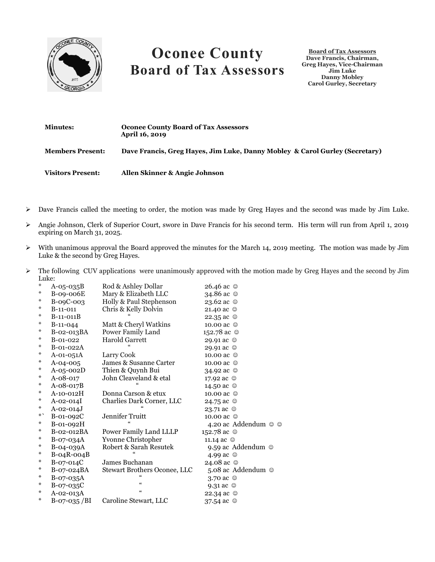

## **Oconee County Board of Tax Assessors**

**Board of Tax Assessors Dave Francis, Chairman, Greg Hayes, Vice-Chairman Jim Luke Danny Mobley Carol Gurley, Secretary**

| <b>Minutes:</b>          | <b>Oconee County Board of Tax Assessors</b><br>April 16, 2019               |
|--------------------------|-----------------------------------------------------------------------------|
| <b>Members Present:</b>  | Dave Francis, Greg Hayes, Jim Luke, Danny Mobley & Carol Gurley (Secretary) |
| <b>Visitors Present:</b> | Allen Skinner & Angie Johnson                                               |

- $\triangleright$  Dave Francis called the meeting to order, the motion was made by Greg Hayes and the second was made by Jim Luke.
- Angie Johnson, Clerk of Superior Court, swore in Dave Francis for his second term. His term will run from April 1, 2019 expiring on March 31, 2025.
- $\triangleright$  With unanimous approval the Board approved the minutes for the March 14, 2019 meeting. The motion was made by Jim Luke & the second by Greg Hayes.
- $\triangleright$  The following CUV applications were unanimously approved with the motion made by Greg Hayes and the second by Jim Luke:

| ⋇      | $A-05-035B$     | Rod & Ashley Dollar                 | 26.46 ac ©              |
|--------|-----------------|-------------------------------------|-------------------------|
| ⋇      | B-09-006E       | Mary & Elizabeth LLC                | 34.86 ac ©              |
| ⋇      | B-09C-003       | Holly & Paul Stephenson             | 23.62 ac ©              |
| ⋇      | $B-11-011$      | Chris & Kelly Dolvin                | 21.40 ac ☺              |
| ⋇      | $B-11-011B$     |                                     | 22.35 ac ©              |
| ⋇      | $B-11-044$      | Matt & Cheryl Watkins               | 10.00 ac ©              |
| ∗      | B-02-013BA      | Power Family Land                   | 152.78 ac ©             |
| ⋇      | $B-01-022$      | <b>Harold Garrett</b>               | 29.91 ac ©              |
| ⋇      | B-01-022A       |                                     | 29.91 ac ©              |
| ⋇      | $A-01-051A$     | Larry Cook                          | 10.00 ac ©              |
| ∗      | A-04-005        | James & Susanne Carter              | 10.00 ac ©              |
| ∗      | $A-05-002D$     | Thien & Quynh Bui                   | 34.92 ac ©              |
| ∗      | A-08-017        | John Cleaveland & etal              | 17.92 ac ©              |
| ∗      | $A-08-017B$     |                                     | 14.50 ac ©              |
| $\ast$ | A-10-012H       | Donna Carson & etux                 | 10.00 ac ©              |
| ∗      | A-02-014I       | Charlies Dark Corner, LLC           | 24.75 ac $\circledcirc$ |
| ∗      | $A - 02 - 014J$ |                                     | 23.71 ac ☺              |
| $*`$   | B-01-092C       | Jennifer Truitt                     | 10.00 ac ©              |
| ∗      | B-01-092H       |                                     | 4.20 ac Addendum © ©    |
| ∗      | B-02-012BA      | Power Family Land LLLP              | 152.78 ac ©             |
| ∗      | $B-07-034A$     | Yvonne Christopher                  | 11.14 ac ©              |
| $\ast$ | B-04-039A       | Robert & Sarah Resutek              | 9.59 ac Addendum ©      |
| ∗      | $B-04R-004B$    |                                     | 4.99 ac ©               |
| ∗      | $B-07-014C$     | James Buchanan                      | 24.08 ac ©              |
| ∗      | B-07-024BA      | <b>Stewart Brothers Oconee, LLC</b> | 5.08 ac Addendum ©      |
| ∗      | B-07-035A       |                                     | 3.70 ac ©               |
| ∗      | B-07-035C       | $\epsilon$                          | 9.31 ac $\circledcirc$  |
| ⋇      | A-02-013A       | $\epsilon\epsilon$                  | 22.34 ac $\circ$        |
| ⋇      | B-07-035/BI     | Caroline Stewart, LLC               | 37.54 ac $\circledcirc$ |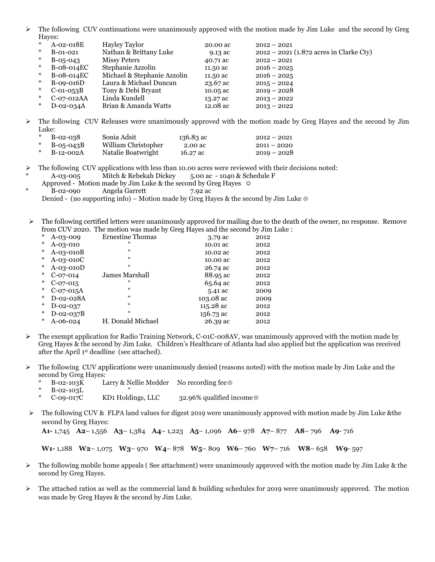$\triangleright$  The following CUV continuations were unanimously approved with the motion made by Jim Luke and the second by Greg Hayes:

| *      | $A-02-018E$     | <b>Hayley Taylor</b>        | 20.00 ac | $2012 - 2021$                             |
|--------|-----------------|-----------------------------|----------|-------------------------------------------|
| *      | $B-01-021$      | Nathan & Brittany Luke      | 9.13 ac  | $2012 - 2021$ (1.872 acres in Clarke Cty) |
| $*$    | $B-0.5-0.43$    | Missy Peters                | 40.71 ac | $2012 - 2021$                             |
| $\ast$ | B-08-014EC      | Stephanie Azzolin           | 11.50 ac | $2016 - 2025$                             |
| $*$    | B-08-014EC      | Michael & Stephanie Azzolin | 11.50 ac | $2016 - 2025$                             |
| $\ast$ | $B-09-016D$     | Laura & Michael Duncan      | 23.67 ac | $2015 - 2024$                             |
| $*$    | $C$ -01-053 $B$ | Tony & Debi Bryant          | 10.05 ac | $2019 - 2028$                             |
| *      | C-07-012AA      | Linda Kundell               | 13.27 ac | $2013 - 2022$                             |
| $*$    | $D$ -02-034 $A$ | Brian & Amanda Watts        | 12.08 ac | $2013 - 2022$                             |

 The following CUV Releases were unanimously approved with the motion made by Greg Hayes and the second by Jim Luke:

| $\ast$ | $B-02-038$ | Sonia Adsit         | 136.83 ac | $2012 - 2021$ |
|--------|------------|---------------------|-----------|---------------|
|        | B-05-043B  | William Christopher | 2.00 ac   | $2011 - 2020$ |
|        | B-12-002A  | Natalie Boatwright  | 16.27 ac  | $2019 - 2028$ |

The following CUV applications with less than 10.00 acres were reviewed with their decisions noted:

A-03-005 Mitch & Rebekah Dickey 5.00 ac - 1040 & Schedule F

Approved - Motion made by Jim Luke & the second by Greg Hayes  $\circ$ 

B-02-090 Angela Garrett 7.92 ac

Denied - (no supporting info) – Motion made by Greg Hayes & the second by Jim Luke  $\circledcirc$ 

 The following certified letters were unanimously approved for mailing due to the death of the owner, no response. Remove from CUV 2020. The motion was made by Greg Hayes and the second by Jim Luke :

| $*$ | $A - 0.3 - 0.09$ | <b>Ernestine Thomas</b> | 3.79 ac   | 2012 |
|-----|------------------|-------------------------|-----------|------|
| ∗   | A-03-010         | 66                      | 10.01 ac  | 2012 |
| ∗   | $A-03-010B$      | $\zeta\zeta$            | 10.02 ac  | 2012 |
| ∗   | $A-03-010C$      | $\epsilon\epsilon$      | 10.00 ac  | 2012 |
| ∗   | $A-03-010D$      | $\epsilon$              | 26.74 ac  | 2012 |
| ∗   | $C-07-014$       | James Marshall          | 88.95 ac  | 2012 |
| ∗   | $C-07-015$       | 66                      | 65.64 ac  | 2012 |
| ∗   | $C-07-015A$      | $\zeta\zeta$            | 5.41 ac   | 2009 |
| ∗   | D-02-028A        | $\zeta\zeta$            | 103.08 ac | 2009 |
| ∗   | D-02-037         | $\epsilon\epsilon$      | 115.28 ac | 2012 |
| ∗   | $D-02-037B$      | $\epsilon\epsilon$      | 156.73 ac | 2012 |
| ∗   | A-06-024         | H. Donald Michael       | 26.39 ac  | 2012 |

- $\triangleright$  The exempt application for Radio Training Network, C-01C-008AV, was unanimously approved with the motion made by Greg Hayes & the second by Jim Luke. Children's Healthcare of Atlanta had also applied but the application was received after the April 1st deadline (see attached).
- $\triangleright$  The following CUV applications were unanimously denied (reasons noted) with the motion made by Jim Luke and the second by Greg Hayes:<br>\* B-02-103K L
	- Larry & Nellie Medder No recording fee  $\otimes$

 $B-02-103L$ 

- $C$ -09-017C KD1 Holdings, LLC 32.96% qualified income  $\otimes$
- $\triangleright$  The following CUV & FLPA land values for digest 2019 were unanimously approved with motion made by Jim Luke &the second by Greg Hayes:

**A1-** 1,745 **A2**– 1,556 **A3**– 1,384 **A4**– 1,223 **A5**– 1,096 **A6**– 978 **A7**– 877 **A8**– 796 **A9**- 716

**W1-** 1,188 **W2**– 1,075 **W3**– 970 **W4**– 878 **W5**– 809 **W6**– 760 **W7**– 716 **W8**– 658 **W9**- 597

- $\triangleright$  The following mobile home appeals (See attachment) were unanimously approved with the motion made by Jim Luke & the second by Greg Hayes.
- $\triangleright$  The attached ratios as well as the commercial land & building schedules for 2019 were unanimously approved. The motion was made by Greg Hayes & the second by Jim Luke.